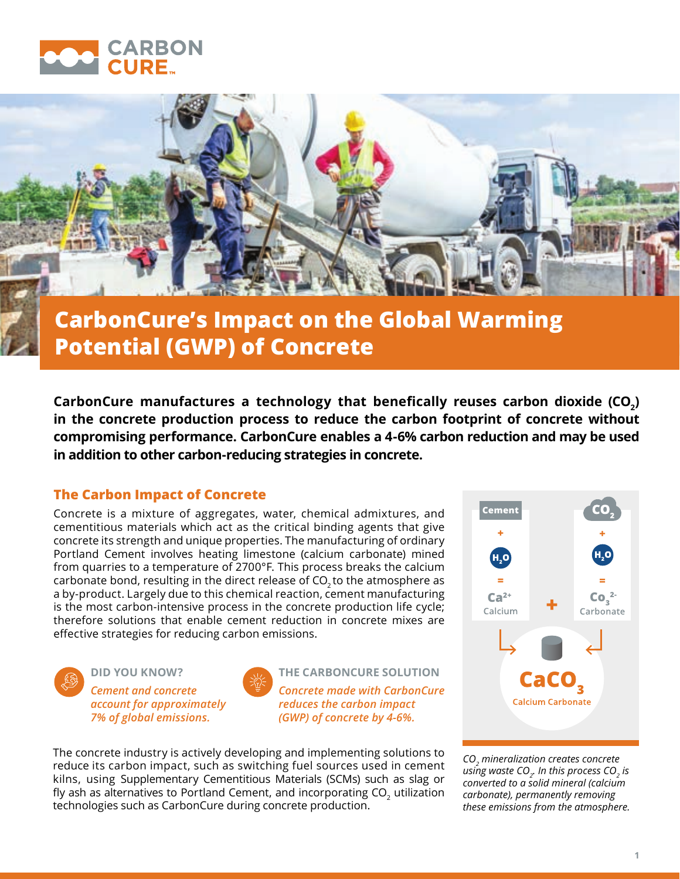



# **CarbonCure's Impact on the Global Warming Potential (GWP) of Concrete**

CarbonCure manufactures a technology that benefically reuses carbon dioxide (CO<sub>2</sub>) **in the concrete production process to reduce the carbon footprint of concrete without compromising performance. CarbonCure enables a 4-6% carbon reduction and may be used in addition to other carbon-reducing strategies in concrete.** 

# **The Carbon Impact of Concrete**

Concrete is a mixture of aggregates, water, chemical admixtures, and cementitious materials which act as the critical binding agents that give concrete its strength and unique properties. The manufacturing of ordinary Portland Cement involves heating limestone (calcium carbonate) mined from quarries to a temperature of 2700°F. This process breaks the calcium carbonate bond, resulting in the direct release of  $CO<sub>2</sub>$  to the atmosphere as a by-product. Largely due to this chemical reaction, cement manufacturing is the most carbon-intensive process in the concrete production life cycle; therefore solutions that enable cement reduction in concrete mixes are effective strategies for reducing carbon emissions.



**DID YOU KNOW?** *Cement and concrete account for approximately 7% of global emissions.*



**THE CARBONCURE SOLUTION** *Concrete made with CarbonCure reduces the carbon impact (GWP) of concrete by 4-6%.*

The concrete industry is actively developing and implementing solutions to reduce its carbon impact, such as switching fuel sources used in cement kilns, using Supplementary Cementitious Materials (SCMs) such as slag or fly ash as alternatives to Portland Cement, and incorporating  $CO<sub>2</sub>$  utilization technologies such as CarbonCure during concrete production.



*CO2 mineralization creates concrete*   $u$ *sing waste CO<sub>2</sub>. In this process CO<sub>2</sub> is converted to a solid mineral (calcium carbonate), permanently removing these emissions from the atmosphere.*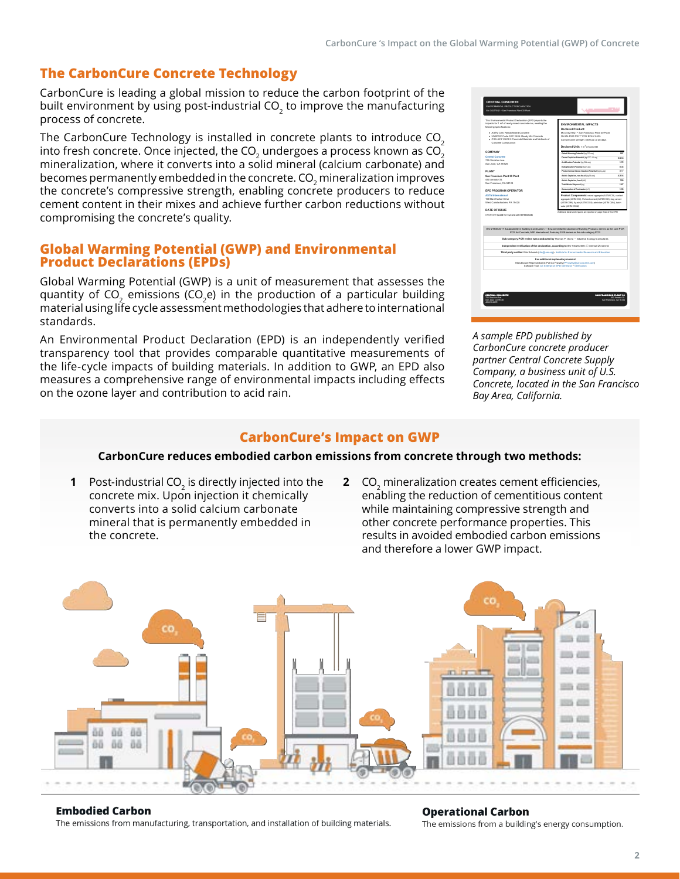# **The CarbonCure Concrete Technology**

CarbonCure is leading a global mission to reduce the carbon footprint of the built environment by using post-industrial CO<sub>2</sub> to improve the manufacturing process of concrete.

The CarbonCure Technology is installed in concrete plants to introduce CO<sub>2</sub> into fresh concrete. Once injected, the CO<sub>2</sub> undergoes a process known as  $CO<sub>2</sub>$ mineralization, where it converts into a solid mineral (calcium carbonate) and becomes permanently embedded in the concrete. CO<sub>2</sub> mineralization improves the concrete's compressive strength, enabling concrete producers to reduce cement content in their mixes and achieve further carbon reductions without compromising the concrete's quality.

## **Global Warming Potential (GWP) and Environmental Product Declarations (EPDs)**

Global Warming Potential (GWP) is a unit of measurement that assesses the quantity of  $CO<sub>2</sub>$  emissions ( $CO<sub>2</sub>e$ ) in the production of a particular building material using life cycle assessment methodologies that adhere to international standards.

An Environmental Product Declaration (EPD) is an independently verified transparency tool that provides comparable quantitative measurements of the life-cycle impacts of building materials. In addition to GWP, an EPD also measures a comprehensive range of environmental impacts including effects on the ozone layer and contribution to acid rain.

| This Environmental Product Declaration (EPD) reports the<br>impacts for 1 m <sup>2</sup> of ready mixed concrete mix, meeting the                                                  | <b>ENVIRONMENTAL IMPACTS</b>                                                                                                                                                 |                |  |  |
|------------------------------------------------------------------------------------------------------------------------------------------------------------------------------------|------------------------------------------------------------------------------------------------------------------------------------------------------------------------------|----------------|--|--|
| following apacifications:                                                                                                                                                          | Declared Product:                                                                                                                                                            |                |  |  |
| ASTM C94: Ready-Moad Concrete                                                                                                                                                      | Mix 34077501 x San Energiaco Plant 30 Plant<br>3N LN 4000 PSI 1" CO2 EF45 3-5SL<br>Compressive strength: 4000 psi at 28 days<br>Declared Unit: 1 m <sup>3</sup> of concessio |                |  |  |
| . UNSPSC Code 30111505: Ready Mix Concrete                                                                                                                                         |                                                                                                                                                                              |                |  |  |
| CSA A23.1/A23.2: Concrete Materials and Methods of<br>Concerte Construction                                                                                                        |                                                                                                                                                                              |                |  |  |
|                                                                                                                                                                                    |                                                                                                                                                                              |                |  |  |
| COMPANY                                                                                                                                                                            | Gobal Warming Potential (kg CCb-ed)                                                                                                                                          | 20             |  |  |
| <b>Central Concrete</b>                                                                                                                                                            | Ozone Depletion Potential (kp CFC-11-ed)                                                                                                                                     | <b>STEA</b>    |  |  |
| 255 Straiters Ave.<br>San Jose, CA 95126                                                                                                                                           | Acidification Potential (kg SO-ec)                                                                                                                                           | 172            |  |  |
|                                                                                                                                                                                    | <b>Batrophication Potential (kg N-eg)</b>                                                                                                                                    | o vs           |  |  |
| PI ANT                                                                                                                                                                             | Photochemical Ozone Oreation Potential (kg O-eg)                                                                                                                             | 177            |  |  |
| San Francisco Plant 30 Plant                                                                                                                                                       | Ablatic Decistion, non-focal (ig Sb-eq)                                                                                                                                      | 4.35.6         |  |  |
| 450 Amador St.                                                                                                                                                                     | <b>Abiatic Decistion, foxed (MA)</b>                                                                                                                                         | 700            |  |  |
| San Francisco, CA 94124                                                                                                                                                            | Total Waste Disposed from                                                                                                                                                    | 1.67           |  |  |
| FPD PROGRAM OPERATOR                                                                                                                                                               | Consumption of Deathweter (m3)                                                                                                                                               | 1.93           |  |  |
| <b>ASTM</b> International                                                                                                                                                          | Product Components: ratual aggregate (ASTM C33), crusted                                                                                                                     |                |  |  |
| 100 Barr Harbor Drive                                                                                                                                                              | aggregate (ASTM C33). Portland cernent (ASTM C150), size cernent<br>(ASTM C989), fir ash (ASTM C618), administratif (ASTM C494), batch                                       |                |  |  |
| West Combohorben, PA 19428                                                                                                                                                         |                                                                                                                                                                              |                |  |  |
| DATE OF ISSUE                                                                                                                                                                      | water (ASTM C1002)                                                                                                                                                           |                |  |  |
| 07/08/2019 (valid for 5 years until 07/08/2024)<br>ISO 21930:2017 Sustainability in Building Coratruction - Environmental Declaration of Building Products: serves as the core PCR |                                                                                                                                                                              |                |  |  |
|                                                                                                                                                                                    | PCR for Concrete, NSF International, February 2019 serves as the sub-category PCR                                                                                            |                |  |  |
|                                                                                                                                                                                    | Sub-category PCR review was conducted by Thomas P. Gloria . Industrial Ecology Consultants                                                                                   |                |  |  |
|                                                                                                                                                                                    | Independent verification of the declaration, according to ISO 14025:2008: [3] internal @ external                                                                            |                |  |  |
|                                                                                                                                                                                    | Third party verifier: Rite Schenck (rite(Qiere.org) . Institute for Environmental Research and Education                                                                     |                |  |  |
|                                                                                                                                                                                    | For additional explanatory material                                                                                                                                          |                |  |  |
|                                                                                                                                                                                    | Manufacture Representative: Patrick Frandey (PFrankryStus-concrete.com)<br>Software Toot CE Enterprise EPD Generator . Verification                                          |                |  |  |
|                                                                                                                                                                                    |                                                                                                                                                                              |                |  |  |
|                                                                                                                                                                                    |                                                                                                                                                                              |                |  |  |
|                                                                                                                                                                                    |                                                                                                                                                                              |                |  |  |
|                                                                                                                                                                                    |                                                                                                                                                                              |                |  |  |
|                                                                                                                                                                                    |                                                                                                                                                                              |                |  |  |
| <b>CENTRAL CONCRETE</b>                                                                                                                                                            | SAN FRANCISCO PLANT 30                                                                                                                                                       |                |  |  |
| 755 Stockhon Auto                                                                                                                                                                  |                                                                                                                                                                              | 450 Amador St. |  |  |

*A sample EPD published by CarbonCure concrete producer partner Central Concrete Supply Company, a business unit of U.S. Concrete, located in the San Francisco Bay Area, California.*

### **CarbonCure's Impact on GWP**

### **CarbonCure reduces embodied carbon emissions from concrete through two methods:**

- **1** Post-industrial CO<sub>2</sub> is directly injected into the concrete mix. Upon injection it chemically converts into a solid calcium carbonate mineral that is permanently embedded in the concrete.
- **2** CO<sub>2</sub> mineralization creates cement efficiencies, enabling the reduction of cementitious content while maintaining compressive strength and other concrete performance properties. This results in avoided embodied carbon emissions and therefore a lower GWP impact.



#### **Embodied Carbon**

The emissions from manufacturing, transportation, and installation of building materials.

#### **Operational Carbon**

The emissions from a building's energy consumption.